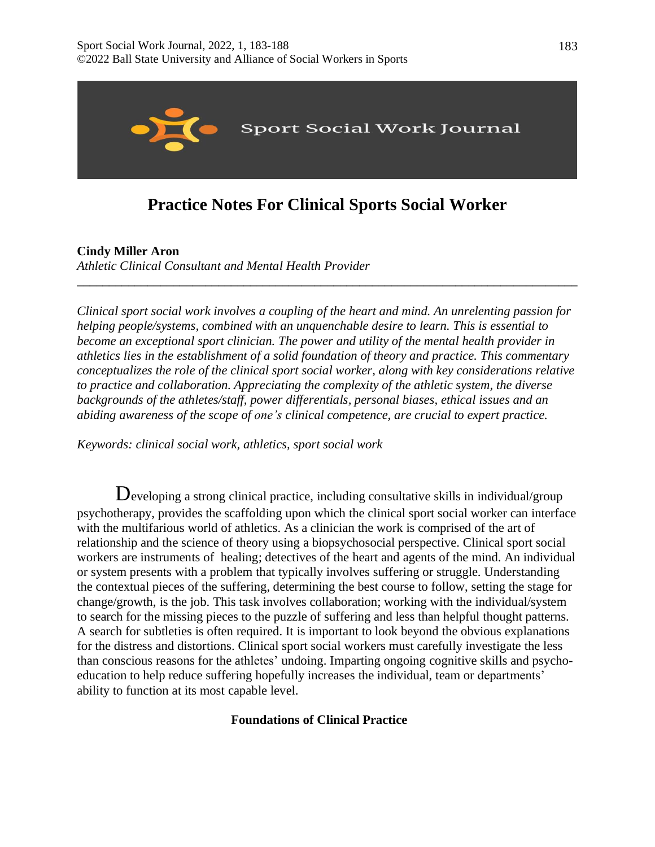

# **Practice Notes For Clinical Sports Social Worker**

**\_\_\_\_\_\_\_\_\_\_\_\_\_\_\_\_\_\_\_\_\_\_\_\_\_\_\_\_\_\_\_\_\_\_\_\_\_\_\_\_\_\_\_\_\_\_\_\_\_\_\_\_\_\_\_\_\_\_\_\_\_\_\_\_\_\_\_\_\_\_\_\_\_\_\_\_\_\_**

**Cindy Miller Aron** 

*Athletic Clinical Consultant and Mental Health Provider*

*Clinical sport social work involves a coupling of the heart and mind. An unrelenting passion for helping people/systems, combined with an unquenchable desire to learn. This is essential to become an exceptional sport clinician. The power and utility of the mental health provider in athletics lies in the establishment of a solid foundation of theory and practice. This commentary conceptualizes the role of the clinical sport social worker, along with key considerations relative to practice and collaboration. Appreciating the complexity of the athletic system, the diverse backgrounds of the athletes/staff, power differentials, personal biases, ethical issues and an abiding awareness of the scope of one's clinical competence, are crucial to expert practice.*

*Keywords: clinical social work, athletics, sport social work*

Developing <sup>a</sup> strong clinical practice, including consultative skills in individual/group psychotherapy, provides the scaffolding upon which the clinical sport social worker can interface with the multifarious world of athletics. As a clinician the work is comprised of the art of relationship and the science of theory using a biopsychosocial perspective. Clinical sport social workers are instruments of healing; detectives of the heart and agents of the mind. An individual or system presents with a problem that typically involves suffering or struggle. Understanding the contextual pieces of the suffering, determining the best course to follow, setting the stage for change/growth, is the job. This task involves collaboration; working with the individual/system to search for the missing pieces to the puzzle of suffering and less than helpful thought patterns. A search for subtleties is often required. It is important to look beyond the obvious explanations for the distress and distortions. Clinical sport social workers must carefully investigate the less than conscious reasons for the athletes' undoing. Imparting ongoing cognitive skills and psychoeducation to help reduce suffering hopefully increases the individual, team or departments' ability to function at its most capable level.

# **Foundations of Clinical Practice**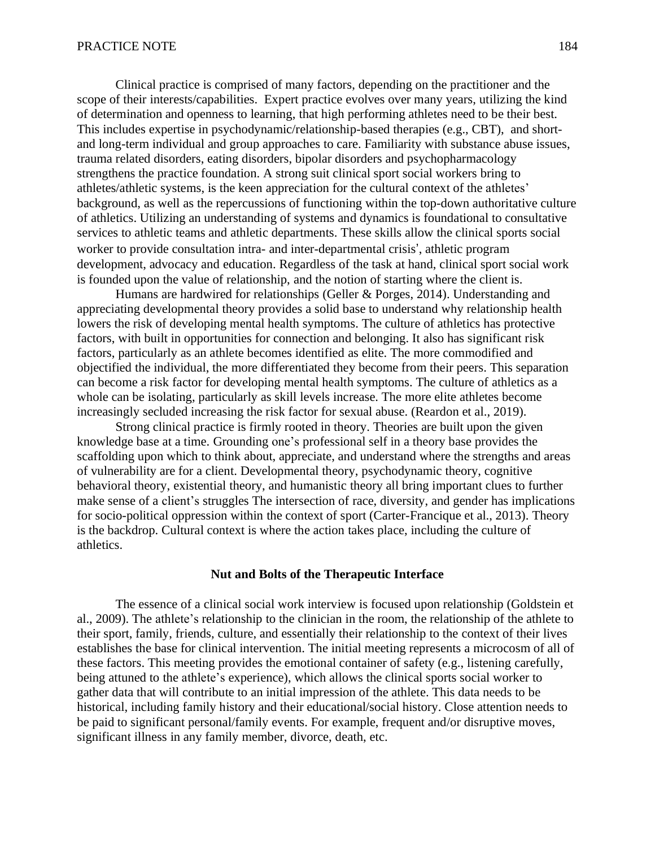Clinical practice is comprised of many factors, depending on the practitioner and the scope of their interests/capabilities. Expert practice evolves over many years, utilizing the kind of determination and openness to learning, that high performing athletes need to be their best. This includes expertise in psychodynamic/relationship-based therapies (e.g., CBT), and shortand long-term individual and group approaches to care. Familiarity with substance abuse issues, trauma related disorders, eating disorders, bipolar disorders and psychopharmacology strengthens the practice foundation. A strong suit clinical sport social workers bring to athletes/athletic systems, is the keen appreciation for the cultural context of the athletes' background, as well as the repercussions of functioning within the top-down authoritative culture of athletics. Utilizing an understanding of systems and dynamics is foundational to consultative services to athletic teams and athletic departments. These skills allow the clinical sports social worker to provide consultation intra- and inter-departmental crisis', athletic program development, advocacy and education. Regardless of the task at hand, clinical sport social work is founded upon the value of relationship, and the notion of starting where the client is.

Humans are hardwired for relationships (Geller & Porges, 2014). Understanding and appreciating developmental theory provides a solid base to understand why relationship health lowers the risk of developing mental health symptoms. The culture of athletics has protective factors, with built in opportunities for connection and belonging. It also has significant risk factors, particularly as an athlete becomes identified as elite. The more commodified and objectified the individual, the more differentiated they become from their peers. This separation can become a risk factor for developing mental health symptoms. The culture of athletics as a whole can be isolating, particularly as skill levels increase. The more elite athletes become increasingly secluded increasing the risk factor for sexual abuse. (Reardon et al., 2019).

Strong clinical practice is firmly rooted in theory. Theories are built upon the given knowledge base at a time. Grounding one's professional self in a theory base provides the scaffolding upon which to think about, appreciate, and understand where the strengths and areas of vulnerability are for a client. Developmental theory, psychodynamic theory, cognitive behavioral theory, existential theory, and humanistic theory all bring important clues to further make sense of a client's struggles The intersection of race, diversity, and gender has implications for socio-political oppression within the context of sport (Carter-Francique et al., 2013). Theory is the backdrop. Cultural context is where the action takes place, including the culture of athletics.

## **Nut and Bolts of the Therapeutic Interface**

The essence of a clinical social work interview is focused upon relationship (Goldstein et al., 2009). The athlete's relationship to the clinician in the room, the relationship of the athlete to their sport, family, friends, culture, and essentially their relationship to the context of their lives establishes the base for clinical intervention. The initial meeting represents a microcosm of all of these factors. This meeting provides the emotional container of safety (e.g., listening carefully, being attuned to the athlete's experience), which allows the clinical sports social worker to gather data that will contribute to an initial impression of the athlete. This data needs to be historical, including family history and their educational/social history. Close attention needs to be paid to significant personal/family events. For example, frequent and/or disruptive moves, significant illness in any family member, divorce, death, etc.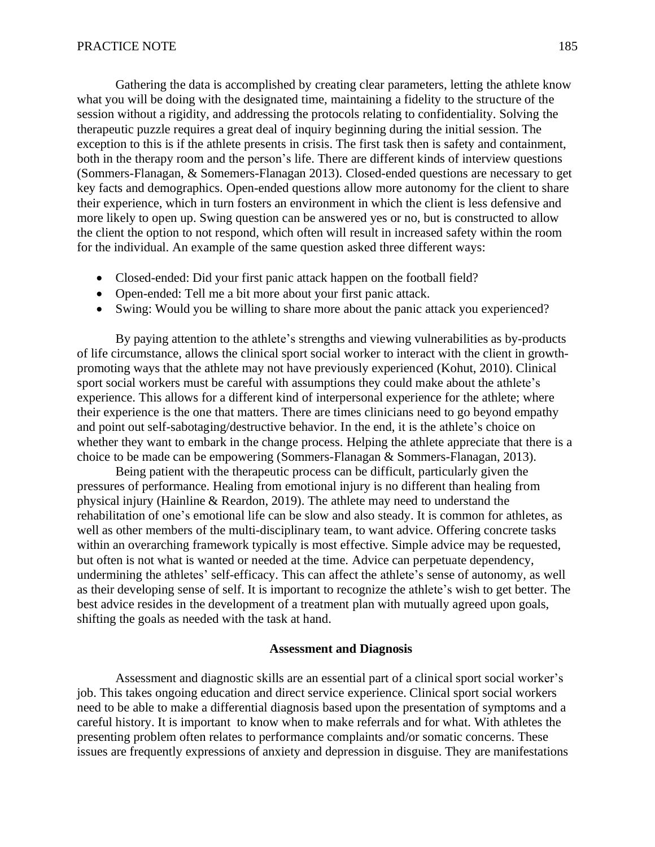Gathering the data is accomplished by creating clear parameters, letting the athlete know what you will be doing with the designated time, maintaining a fidelity to the structure of the session without a rigidity, and addressing the protocols relating to confidentiality. Solving the therapeutic puzzle requires a great deal of inquiry beginning during the initial session. The exception to this is if the athlete presents in crisis. The first task then is safety and containment, both in the therapy room and the person's life. There are different kinds of interview questions (Sommers-Flanagan, & Somemers-Flanagan 2013). Closed-ended questions are necessary to get key facts and demographics. Open-ended questions allow more autonomy for the client to share their experience, which in turn fosters an environment in which the client is less defensive and more likely to open up. Swing question can be answered yes or no, but is constructed to allow the client the option to not respond, which often will result in increased safety within the room for the individual. An example of the same question asked three different ways:

- Closed-ended: Did your first panic attack happen on the football field?
- Open-ended: Tell me a bit more about your first panic attack.
- Swing: Would you be willing to share more about the panic attack you experienced?

By paying attention to the athlete's strengths and viewing vulnerabilities as by-products of life circumstance, allows the clinical sport social worker to interact with the client in growthpromoting ways that the athlete may not have previously experienced (Kohut, 2010). Clinical sport social workers must be careful with assumptions they could make about the athlete's experience. This allows for a different kind of interpersonal experience for the athlete; where their experience is the one that matters. There are times clinicians need to go beyond empathy and point out self-sabotaging/destructive behavior. In the end, it is the athlete's choice on whether they want to embark in the change process. Helping the athlete appreciate that there is a choice to be made can be empowering (Sommers-Flanagan & Sommers-Flanagan, 2013).

Being patient with the therapeutic process can be difficult, particularly given the pressures of performance. Healing from emotional injury is no different than healing from physical injury (Hainline & Reardon, 2019). The athlete may need to understand the rehabilitation of one's emotional life can be slow and also steady. It is common for athletes, as well as other members of the multi-disciplinary team, to want advice. Offering concrete tasks within an overarching framework typically is most effective. Simple advice may be requested, but often is not what is wanted or needed at the time. Advice can perpetuate dependency, undermining the athletes' self-efficacy. This can affect the athlete's sense of autonomy, as well as their developing sense of self. It is important to recognize the athlete's wish to get better. The best advice resides in the development of a treatment plan with mutually agreed upon goals, shifting the goals as needed with the task at hand.

## **Assessment and Diagnosis**

Assessment and diagnostic skills are an essential part of a clinical sport social worker's job. This takes ongoing education and direct service experience. Clinical sport social workers need to be able to make a differential diagnosis based upon the presentation of symptoms and a careful history. It is important to know when to make referrals and for what. With athletes the presenting problem often relates to performance complaints and/or somatic concerns. These issues are frequently expressions of anxiety and depression in disguise. They are manifestations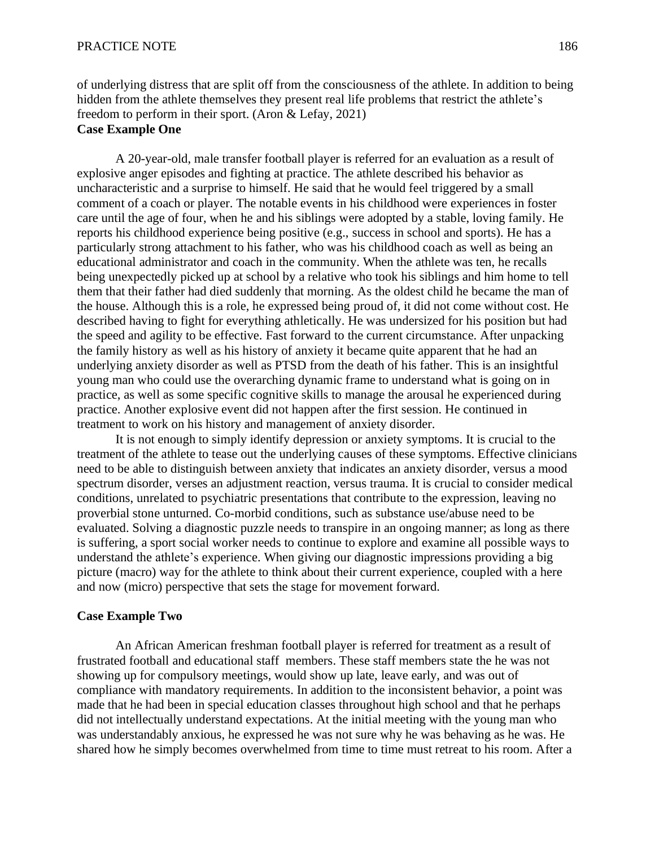of underlying distress that are split off from the consciousness of the athlete. In addition to being hidden from the athlete themselves they present real life problems that restrict the athlete's freedom to perform in their sport. (Aron & Lefay, 2021)

# **Case Example One**

A 20-year-old, male transfer football player is referred for an evaluation as a result of explosive anger episodes and fighting at practice. The athlete described his behavior as uncharacteristic and a surprise to himself. He said that he would feel triggered by a small comment of a coach or player. The notable events in his childhood were experiences in foster care until the age of four, when he and his siblings were adopted by a stable, loving family. He reports his childhood experience being positive (e.g., success in school and sports). He has a particularly strong attachment to his father, who was his childhood coach as well as being an educational administrator and coach in the community. When the athlete was ten, he recalls being unexpectedly picked up at school by a relative who took his siblings and him home to tell them that their father had died suddenly that morning. As the oldest child he became the man of the house. Although this is a role, he expressed being proud of, it did not come without cost. He described having to fight for everything athletically. He was undersized for his position but had the speed and agility to be effective. Fast forward to the current circumstance. After unpacking the family history as well as his history of anxiety it became quite apparent that he had an underlying anxiety disorder as well as PTSD from the death of his father. This is an insightful young man who could use the overarching dynamic frame to understand what is going on in practice, as well as some specific cognitive skills to manage the arousal he experienced during practice. Another explosive event did not happen after the first session. He continued in treatment to work on his history and management of anxiety disorder.

It is not enough to simply identify depression or anxiety symptoms. It is crucial to the treatment of the athlete to tease out the underlying causes of these symptoms. Effective clinicians need to be able to distinguish between anxiety that indicates an anxiety disorder, versus a mood spectrum disorder, verses an adjustment reaction, versus trauma. It is crucial to consider medical conditions, unrelated to psychiatric presentations that contribute to the expression, leaving no proverbial stone unturned. Co-morbid conditions, such as substance use/abuse need to be evaluated. Solving a diagnostic puzzle needs to transpire in an ongoing manner; as long as there is suffering, a sport social worker needs to continue to explore and examine all possible ways to understand the athlete's experience. When giving our diagnostic impressions providing a big picture (macro) way for the athlete to think about their current experience, coupled with a here and now (micro) perspective that sets the stage for movement forward.

# **Case Example Two**

An African American freshman football player is referred for treatment as a result of frustrated football and educational staff members. These staff members state the he was not showing up for compulsory meetings, would show up late, leave early, and was out of compliance with mandatory requirements. In addition to the inconsistent behavior, a point was made that he had been in special education classes throughout high school and that he perhaps did not intellectually understand expectations. At the initial meeting with the young man who was understandably anxious, he expressed he was not sure why he was behaving as he was. He shared how he simply becomes overwhelmed from time to time must retreat to his room. After a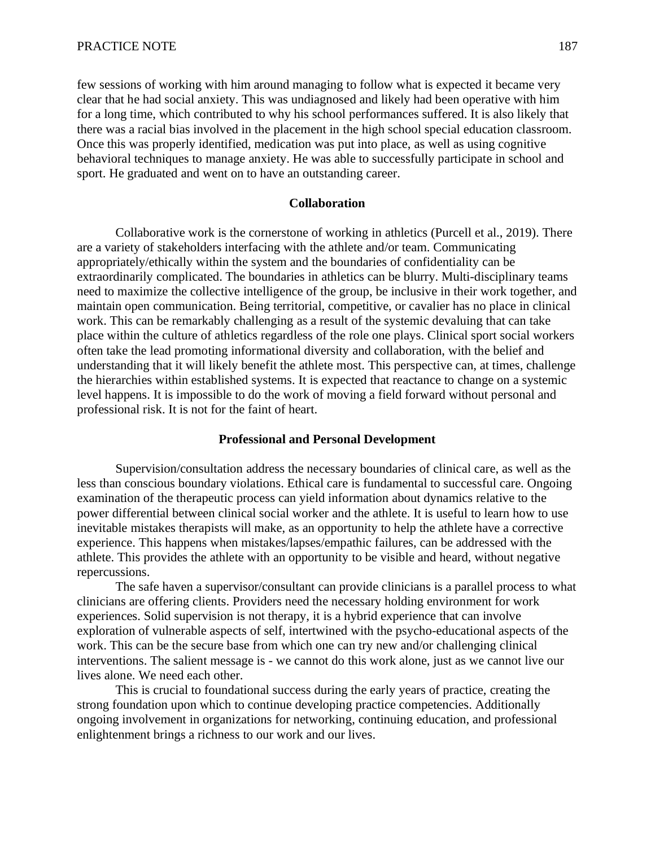few sessions of working with him around managing to follow what is expected it became very clear that he had social anxiety. This was undiagnosed and likely had been operative with him for a long time, which contributed to why his school performances suffered. It is also likely that there was a racial bias involved in the placement in the high school special education classroom. Once this was properly identified, medication was put into place, as well as using cognitive behavioral techniques to manage anxiety. He was able to successfully participate in school and sport. He graduated and went on to have an outstanding career.

## **Collaboration**

Collaborative work is the cornerstone of working in athletics (Purcell et al., 2019). There are a variety of stakeholders interfacing with the athlete and/or team. Communicating appropriately/ethically within the system and the boundaries of confidentiality can be extraordinarily complicated. The boundaries in athletics can be blurry. Multi-disciplinary teams need to maximize the collective intelligence of the group, be inclusive in their work together, and maintain open communication. Being territorial, competitive, or cavalier has no place in clinical work. This can be remarkably challenging as a result of the systemic devaluing that can take place within the culture of athletics regardless of the role one plays. Clinical sport social workers often take the lead promoting informational diversity and collaboration, with the belief and understanding that it will likely benefit the athlete most. This perspective can, at times, challenge the hierarchies within established systems. It is expected that reactance to change on a systemic level happens. It is impossible to do the work of moving a field forward without personal and professional risk. It is not for the faint of heart.

## **Professional and Personal Development**

Supervision/consultation address the necessary boundaries of clinical care, as well as the less than conscious boundary violations. Ethical care is fundamental to successful care. Ongoing examination of the therapeutic process can yield information about dynamics relative to the power differential between clinical social worker and the athlete. It is useful to learn how to use inevitable mistakes therapists will make, as an opportunity to help the athlete have a corrective experience. This happens when mistakes/lapses/empathic failures, can be addressed with the athlete. This provides the athlete with an opportunity to be visible and heard, without negative repercussions.

The safe haven a supervisor/consultant can provide clinicians is a parallel process to what clinicians are offering clients. Providers need the necessary holding environment for work experiences. Solid supervision is not therapy, it is a hybrid experience that can involve exploration of vulnerable aspects of self, intertwined with the psycho-educational aspects of the work. This can be the secure base from which one can try new and/or challenging clinical interventions. The salient message is - we cannot do this work alone, just as we cannot live our lives alone. We need each other.

This is crucial to foundational success during the early years of practice, creating the strong foundation upon which to continue developing practice competencies. Additionally ongoing involvement in organizations for networking, continuing education, and professional enlightenment brings a richness to our work and our lives.